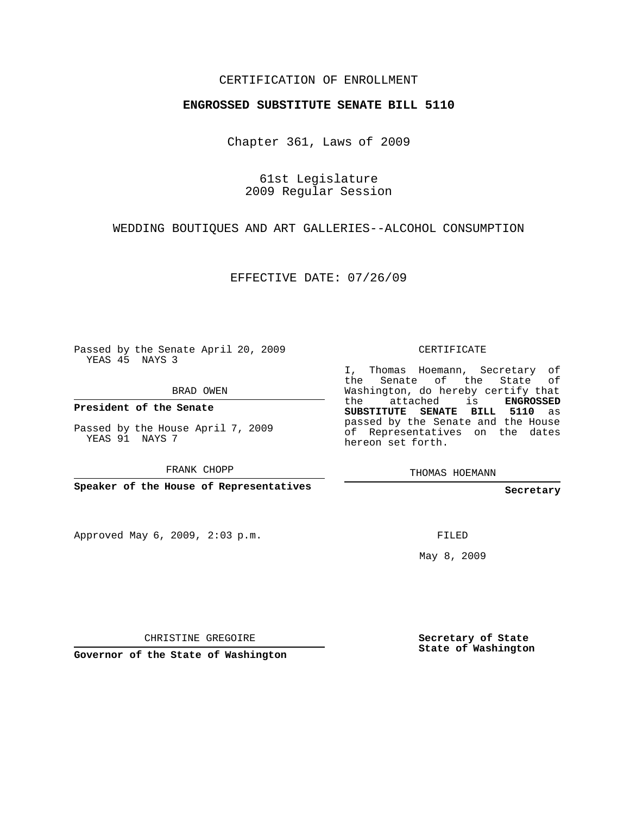## CERTIFICATION OF ENROLLMENT

## **ENGROSSED SUBSTITUTE SENATE BILL 5110**

Chapter 361, Laws of 2009

61st Legislature 2009 Regular Session

WEDDING BOUTIQUES AND ART GALLERIES--ALCOHOL CONSUMPTION

EFFECTIVE DATE: 07/26/09

Passed by the Senate April 20, 2009 YEAS 45 NAYS 3

BRAD OWEN

**President of the Senate**

Passed by the House April 7, 2009 YEAS 91 NAYS 7

FRANK CHOPP

**Speaker of the House of Representatives**

Approved May 6, 2009, 2:03 p.m.

CERTIFICATE

I, Thomas Hoemann, Secretary of the Senate of the State of Washington, do hereby certify that the attached is **ENGROSSED SUBSTITUTE SENATE BILL 5110** as passed by the Senate and the House of Representatives on the dates hereon set forth.

THOMAS HOEMANN

**Secretary**

FILED

May 8, 2009

CHRISTINE GREGOIRE

**Governor of the State of Washington**

**Secretary of State State of Washington**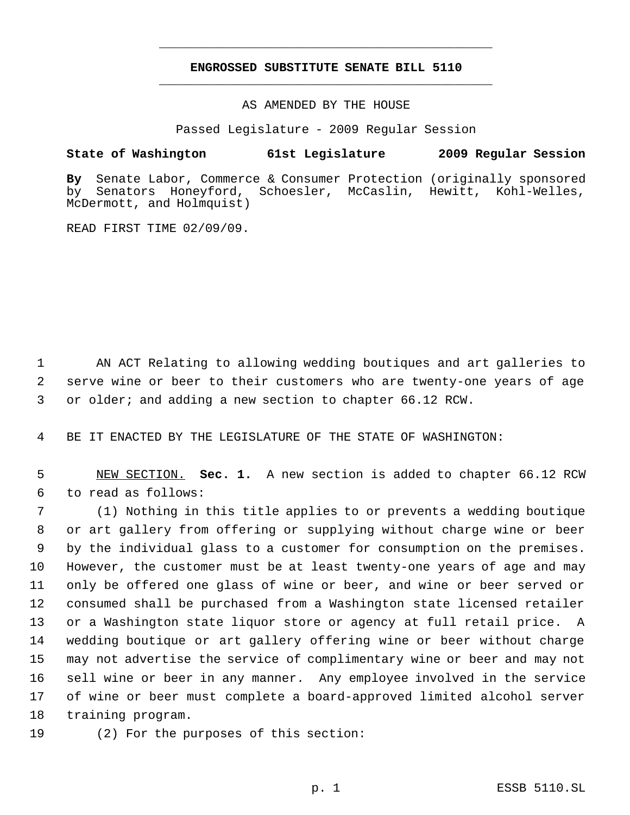## **ENGROSSED SUBSTITUTE SENATE BILL 5110** \_\_\_\_\_\_\_\_\_\_\_\_\_\_\_\_\_\_\_\_\_\_\_\_\_\_\_\_\_\_\_\_\_\_\_\_\_\_\_\_\_\_\_\_\_

\_\_\_\_\_\_\_\_\_\_\_\_\_\_\_\_\_\_\_\_\_\_\_\_\_\_\_\_\_\_\_\_\_\_\_\_\_\_\_\_\_\_\_\_\_

AS AMENDED BY THE HOUSE

Passed Legislature - 2009 Regular Session

## **State of Washington 61st Legislature 2009 Regular Session**

By Senate Labor, Commerce & Consumer Protection (originally sponsored<br>by Senators Honeyford, Schoesler, McCaslin, Hewitt, Kohl-Welles, by Senators Honeyford, Schoesler, McCaslin, Hewitt, Kohl-Welles, McDermott, and Holmquist)

READ FIRST TIME 02/09/09.

 AN ACT Relating to allowing wedding boutiques and art galleries to serve wine or beer to their customers who are twenty-one years of age or older; and adding a new section to chapter 66.12 RCW.

BE IT ENACTED BY THE LEGISLATURE OF THE STATE OF WASHINGTON:

 NEW SECTION. **Sec. 1.** A new section is added to chapter 66.12 RCW to read as follows:

 (1) Nothing in this title applies to or prevents a wedding boutique or art gallery from offering or supplying without charge wine or beer by the individual glass to a customer for consumption on the premises. However, the customer must be at least twenty-one years of age and may only be offered one glass of wine or beer, and wine or beer served or consumed shall be purchased from a Washington state licensed retailer or a Washington state liquor store or agency at full retail price. A wedding boutique or art gallery offering wine or beer without charge may not advertise the service of complimentary wine or beer and may not sell wine or beer in any manner. Any employee involved in the service of wine or beer must complete a board-approved limited alcohol server training program.

(2) For the purposes of this section: